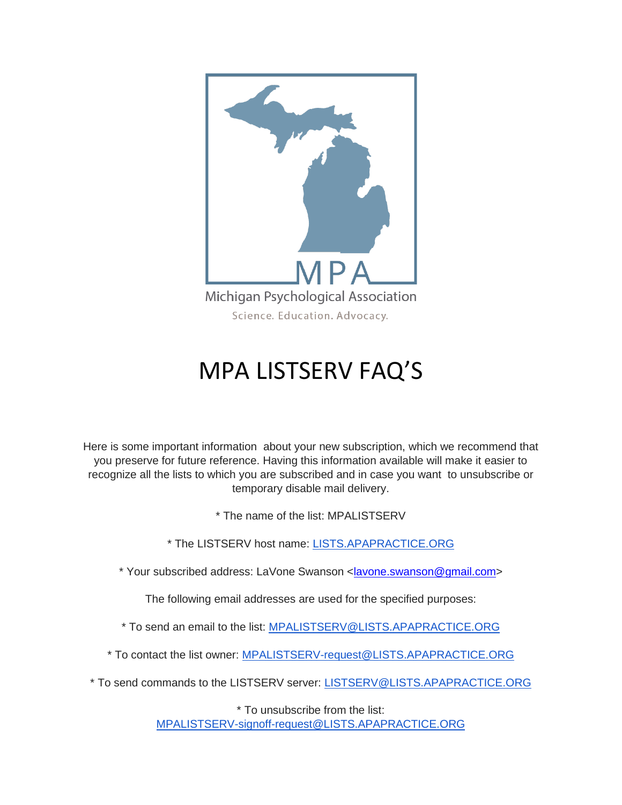

## MPA LISTSERV FAQ'S

Here is some important information about your new subscription, which we recommend that you preserve for future reference. Having this information available will make it easier to recognize all the lists to which you are subscribed and in case you want to unsubscribe or temporary disable mail delivery.

\* The name of the list: MPALISTSERV

\* The LISTSERV host name: [LISTS.APAPRACTICE.ORG](http://lists.apapractice.org/)

\* Your subscribed address: LaVone Swanson [<lavone.swanson@gmail.com>](mailto:lavone.swanson@gmail.com)

The following email addresses are used for the specified purposes:

\* To send an email to the list: [MPALISTSERV@LISTS.APAPRACTICE.ORG](mailto:MPALISTSERV@LISTS.APAPRACTICE.ORG)

\* To contact the list owner: [MPALISTSERV-request@LISTS.APAPRACTICE.ORG](mailto:MPALISTSERV-request@LISTS.APAPRACTICE.ORG)

\* To send commands to the LISTSERV server: [LISTSERV@LISTS.APAPRACTICE.ORG](mailto:LISTSERV@LISTS.APAPRACTICE.ORG)

\* To unsubscribe from the list: [MPALISTSERV-signoff-request@LISTS.APAPRACTICE.ORG](mailto:MPALISTSERV-signoff-request@LISTS.APAPRACTICE.ORG)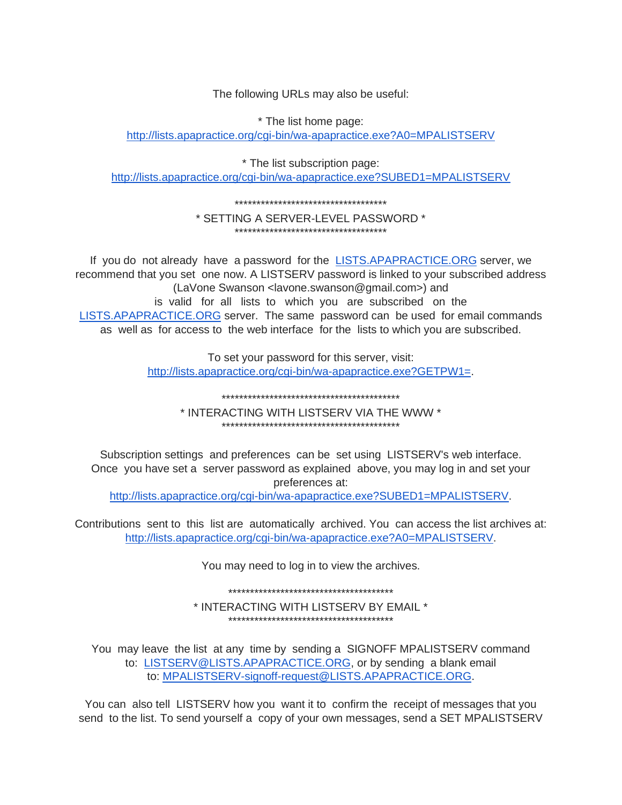The following URLs may also be useful:

\* The list home page: http://lists.apapractice.org/cgi-bin/wa-apapractice.exe?A0=MPALISTSERV

\* The list subscription page: http://lists.apapractice.org/cgi-bin/wa-apapractice.exe?SUBED1=MPALISTSERV

## \* SETTING A SERVER-LEVEL PASSWORD \* \*\*\*\*\*\*\*\*\*\*\*\*\*\*\*\*\*\*\*\*\*\*\*\*\*\*\*\*\*\*\*\*\*\*\*

If you do not already have a password for the **LISTS.APAPRACTICE.ORG** server, we recommend that you set one now. A LISTSERV password is linked to your subscribed address (LaVone Swanson <lavone.swanson@gmail.com>) and is valid for all lists to which you are subscribed on the LISTS.APAPRACTICE.ORG server. The same password can be used for email commands as well as for access to the web interface for the lists to which you are subscribed.

> To set your password for this server, visit: http://lists.apapractice.org/cgi-bin/wa-apapractice.exe?GETPW1=

> > فالمقاومة والمقاولة والمقاولة والمقاومات والمقاومات والمقاولة والمقاولة والمقاولة والمقاومات والمقاومات والمقاولة والمقاولة والمقاولة

\* INTERACTING WITH LISTSERV VIA THE WWW \* 

Subscription settings and preferences can be set using LISTSERV's web interface. Once you have set a server password as explained above, you may log in and set your preferences at:

http://lists.apapractice.org/cgi-bin/wa-apapractice.exe?SUBED1=MPALISTSERV.

Contributions sent to this list are automatically archived. You can access the list archives at: http://lists.apapractice.org/cqi-bin/wa-apapractice.exe?A0=MPALISTSERV

You may need to log in to view the archives.

\* INTERACTING WITH LISTSERV BY EMAIL \* \*\*\*\*\*\*\*\*\*\*\*\*\*\*\*\*\*\*\*\*\*\*\*\*\*\*\*\*\*\*\*\*\*\*\*\*\*\*

You may leave the list at any time by sending a SIGNOFF MPALISTSERV command to: LISTSERV@LISTS.APAPRACTICE.ORG, or by sending a blank email to: MPALISTSERV-signoff-request@LISTS.APAPRACTICE.ORG.

You can also tell LISTSERV how you want it to confirm the receipt of messages that you send to the list. To send yourself a copy of your own messages, send a SET MPALISTSERV